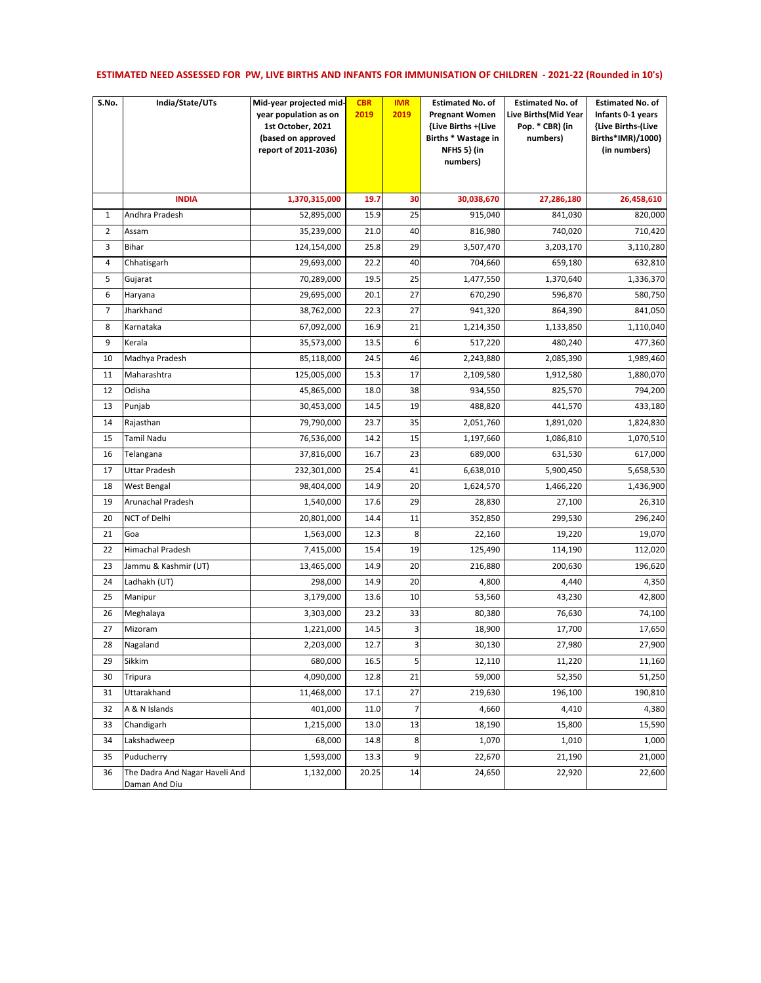## **ESTIMATED NEED ASSESSED FOR PW, LIVE BIRTHS AND INFANTS FOR IMMUNISATION OF CHILDREN - 2021-22 (Rounded in 10's)**

| S.No.          | India/State/UTs                                 | Mid-year projected mid-<br>year population as on<br>1st October, 2021<br>(based on approved<br>report of 2011-2036) | <b>CBR</b><br>2019 | <b>IMR</b><br>2019 | <b>Estimated No. of</b><br><b>Pregnant Women</b><br>{Live Births + (Live<br>Births * Wastage in<br>NFHS 5} (in<br>numbers) | <b>Estimated No. of</b><br>Live Births(Mid Year<br>Pop. * CBR) (in<br>numbers) | <b>Estimated No. of</b><br>Infants 0-1 years<br>{Live Births-(Live<br>Births*IMR)/1000}<br>(in numbers) |
|----------------|-------------------------------------------------|---------------------------------------------------------------------------------------------------------------------|--------------------|--------------------|----------------------------------------------------------------------------------------------------------------------------|--------------------------------------------------------------------------------|---------------------------------------------------------------------------------------------------------|
|                | <b>INDIA</b>                                    | 1,370,315,000                                                                                                       | 19.7               | 30                 | 30,038,670                                                                                                                 | 27,286,180                                                                     | 26,458,610                                                                                              |
| 1              | Andhra Pradesh                                  | 52,895,000                                                                                                          | 15.9               | 25                 | 915,040                                                                                                                    | 841,030                                                                        | 820,000                                                                                                 |
| $\overline{2}$ | Assam                                           | 35,239,000                                                                                                          | 21.0               | 40                 | 816,980                                                                                                                    | 740,020                                                                        | 710,420                                                                                                 |
| 3              | Bihar                                           | 124,154,000                                                                                                         | 25.8               | 29                 | 3,507,470                                                                                                                  | 3,203,170                                                                      | 3,110,280                                                                                               |
| 4              | Chhatisgarh                                     | 29,693,000                                                                                                          | 22.2               | 40                 | 704,660                                                                                                                    | 659,180                                                                        | 632,810                                                                                                 |
| 5              | Gujarat                                         | 70,289,000                                                                                                          | 19.5               | 25                 | 1,477,550                                                                                                                  | 1,370,640                                                                      | 1,336,370                                                                                               |
| 6              | Haryana                                         | 29,695,000                                                                                                          | 20.1               | 27                 | 670,290                                                                                                                    | 596,870                                                                        | 580,750                                                                                                 |
| 7              | Jharkhand                                       | 38,762,000                                                                                                          | 22.3               | 27                 | 941,320                                                                                                                    | 864,390                                                                        | 841,050                                                                                                 |
| 8              | Karnataka                                       | 67,092,000                                                                                                          | 16.9               | 21                 | 1,214,350                                                                                                                  | 1,133,850                                                                      | 1,110,040                                                                                               |
| 9              | Kerala                                          | 35,573,000                                                                                                          | 13.5               | 6                  | 517,220                                                                                                                    | 480,240                                                                        | 477,360                                                                                                 |
| 10             | Madhya Pradesh                                  | 85,118,000                                                                                                          | 24.5               | 46                 | 2,243,880                                                                                                                  | 2,085,390                                                                      | 1,989,460                                                                                               |
| 11             | Maharashtra                                     | 125,005,000                                                                                                         | 15.3               | 17                 | 2,109,580                                                                                                                  | 1,912,580                                                                      | 1,880,070                                                                                               |
| 12             | Odisha                                          | 45,865,000                                                                                                          | 18.0               | 38                 | 934,550                                                                                                                    | 825,570                                                                        | 794,200                                                                                                 |
| 13             | Punjab                                          | 30,453,000                                                                                                          | 14.5               | 19                 | 488,820                                                                                                                    | 441,570                                                                        | 433,180                                                                                                 |
| 14             | Rajasthan                                       | 79,790,000                                                                                                          | 23.7               | 35                 | 2,051,760                                                                                                                  | 1,891,020                                                                      | 1,824,830                                                                                               |
| 15             | <b>Tamil Nadu</b>                               | 76,536,000                                                                                                          | 14.2               | 15                 | 1,197,660                                                                                                                  | 1,086,810                                                                      | 1,070,510                                                                                               |
| 16             | Telangana                                       | 37,816,000                                                                                                          | 16.7               | 23                 | 689,000                                                                                                                    | 631,530                                                                        | 617,000                                                                                                 |
| 17             | Uttar Pradesh                                   | 232,301,000                                                                                                         | 25.4               | 41                 | 6,638,010                                                                                                                  | 5,900,450                                                                      | 5,658,530                                                                                               |
| 18             | West Bengal                                     | 98,404,000                                                                                                          | 14.9               | 20                 | 1,624,570                                                                                                                  | 1,466,220                                                                      | 1,436,900                                                                                               |
| 19             | Arunachal Pradesh                               | 1,540,000                                                                                                           | 17.6               | 29                 | 28,830                                                                                                                     | 27,100                                                                         | 26,310                                                                                                  |
| 20             | NCT of Delhi                                    | 20,801,000                                                                                                          | 14.4               | 11                 | 352,850                                                                                                                    | 299,530                                                                        | 296,240                                                                                                 |
| 21             | Goa                                             | 1,563,000                                                                                                           | 12.3               | 8                  | 22,160                                                                                                                     | 19,220                                                                         | 19,070                                                                                                  |
| 22             | Himachal Pradesh                                | 7,415,000                                                                                                           | 15.4               | 19                 | 125,490                                                                                                                    | 114,190                                                                        | 112,020                                                                                                 |
| 23             | Jammu & Kashmir (UT)                            | 13,465,000                                                                                                          | 14.9               | 20                 | 216,880                                                                                                                    | 200,630                                                                        | 196,620                                                                                                 |
| 24             | Ladhakh (UT)                                    | 298,000                                                                                                             | 14.9               | 20                 | 4,800                                                                                                                      | 4,440                                                                          | 4,350                                                                                                   |
| 25             | Manipur                                         | 3,179,000                                                                                                           | 13.6               | 10                 | 53,560                                                                                                                     | 43,230                                                                         | 42,800                                                                                                  |
| 26             | Meghalaya                                       | 3,303,000                                                                                                           | 23.2               | 33                 | 80,380                                                                                                                     | 76,630                                                                         | 74,100                                                                                                  |
| 27             | Mizoram                                         | 1,221,000                                                                                                           | 14.5               | 3                  | 18,900                                                                                                                     | 17,700                                                                         | 17,650                                                                                                  |
| 28             | Nagaland                                        | 2,203,000                                                                                                           | 12.7               | 3                  | 30,130                                                                                                                     | 27,980                                                                         | 27,900                                                                                                  |
| 29             | Sikkim                                          | 680,000                                                                                                             | 16.5               | 5                  | 12,110                                                                                                                     | 11,220                                                                         | 11,160                                                                                                  |
| 30             | Tripura                                         | 4,090,000                                                                                                           | 12.8               | 21                 | 59,000                                                                                                                     | 52,350                                                                         | 51,250                                                                                                  |
| 31             | Uttarakhand                                     | 11,468,000                                                                                                          | 17.1               | 27                 | 219,630                                                                                                                    | 196,100                                                                        | 190,810                                                                                                 |
| 32             | A & N Islands                                   | 401,000                                                                                                             | 11.0               | $\overline{7}$     | 4,660                                                                                                                      | 4,410                                                                          | 4,380                                                                                                   |
| 33             | Chandigarh                                      | 1,215,000                                                                                                           | 13.0               | 13                 | 18,190                                                                                                                     | 15,800                                                                         | 15,590                                                                                                  |
| 34             | Lakshadweep                                     | 68,000                                                                                                              | 14.8               | 8                  | 1,070                                                                                                                      | 1,010                                                                          | 1,000                                                                                                   |
| 35             | Puducherry                                      | 1,593,000                                                                                                           | 13.3               | 9                  | 22,670                                                                                                                     | 21,190                                                                         | 21,000                                                                                                  |
| 36             | The Dadra And Nagar Haveli And<br>Daman And Diu | 1,132,000                                                                                                           | 20.25              | 14                 | 24,650                                                                                                                     | 22,920                                                                         | 22,600                                                                                                  |